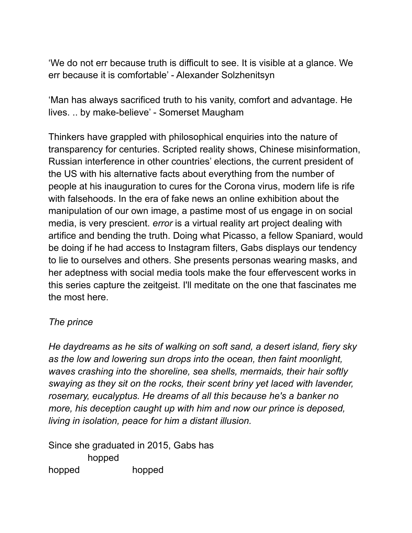'We do not err because truth is difficult to see. It is visible at a glance. We err because it is comfortable' - Alexander Solzhenitsyn

'Man has always sacrificed truth to his vanity, comfort and advantage. He lives. .. by make-believe' - Somerset Maugham

Thinkers have grappled with philosophical enquiries into the nature of transparency for centuries. Scripted reality shows, Chinese misinformation, Russian interference in other countries' elections, the current president of the US with his alternative facts about everything from the number of people at his inauguration to cures for the Corona virus, modern life is rife with falsehoods. In the era of fake news an online exhibition about the manipulation of our own image, a pastime most of us engage in on social media, is very prescient. *error* is a virtual reality art project dealing with artifice and bending the truth. Doing what Picasso, a fellow Spaniard, would be doing if he had access to Instagram filters, Gabs displays our tendency to lie to ourselves and others. She presents personas wearing masks, and her adeptness with social media tools make the four effervescent works in this series capture the zeitgeist. I'll meditate on the one that fascinates me the most here.

## *The prince*

*He daydreams as he sits of walking on soft sand, a desert island, fiery sky as the low and lowering sun drops into the ocean, then faint moonlight, waves crashing into the shoreline, sea shells, mermaids, their hair softly swaying as they sit on the rocks, their scent briny yet laced with lavender, rosemary, eucalyptus. He dreams of all this because he's a banker no more, his deception caught up with him and now our prince is deposed, living in isolation, peace for him a distant illusion.* 

Since she graduated in 2015, Gabs has hopped hopped hopped